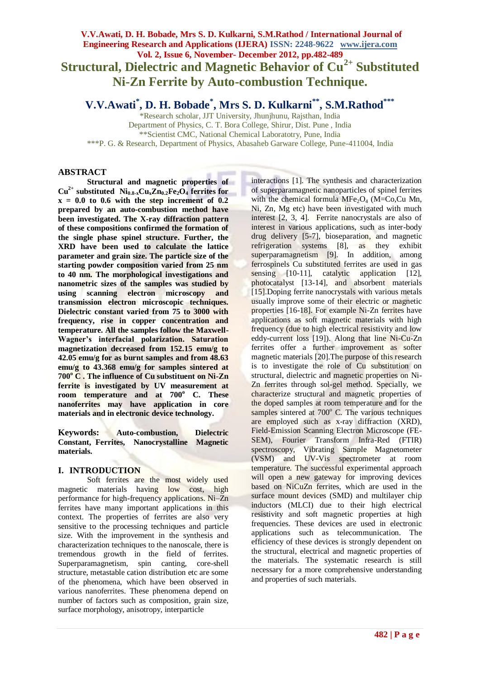# **V.V.Awati, D. H. Bobade, Mrs S. D. Kulkarni, S.M.Rathod / International Journal of Engineering Research and Applications (IJERA) ISSN: 2248-9622 www.ijera.com Vol. 2, Issue 6, November- December 2012, pp.482-489 Structural, Dielectric and Magnetic Behavior of Cu2+ Substituted Ni-Zn Ferrite by Auto-combustion Technique.**

**V.V.Awati\* , D. H. Bobade\* , Mrs S. D. Kulkarni\*\*, S.M.Rathod\*\*\***

\*Research scholar, JJT University, Jhunjhunu, Rajsthan, India Department of Physics, C. T. Bora College, Shirur, Dist. Pune , India \*\*Scientist CMC, National Chemical Laboratotry, Pune, India \*\*\*P. G. & Research, Department of Physics, Abasaheb Garware College, Pune-411004, India

# **ABSTRACT**

**Structural and magnetic properties of**   $Cu^{2+}$  **substituted**  $Ni_{0.8-x}Cu_{x}Zn_{0.2}Fe_{2}O_{4}$  **ferrites for**  $x = 0.0$  to 0.6 with the step increment of  $0.2$ **prepared by an auto-combustion method have been investigated. The X-ray diffraction pattern of these compositions confirmed the formation of the single phase spinel structure. Further, the XRD have been used to calculate the lattice parameter and grain size. The particle size of the starting powder composition varied from 25 nm to 40 nm. The morphological investigations and nanometric sizes of the samples was studied by using scanning electron microscopy and transmission electron microscopic techniques. Dielectric constant varied from 75 to 3000 with frequency, rise in copper concentration and temperature. All the samples follow the Maxwell-Wagner's interfacial polarization. Saturation magnetization decreased from 152.15 emu/g to 42.05 emu/g for as burnt samples and from 48.63 emu/g to 43.368 emu/g for samples sintered at 700<sup>o</sup> C . The influence of Cu substituent on Ni-Zn ferrite is investigated by UV measurement at room temperature and at 700<sup>o</sup> C. These nanoferrites may have application in core materials and in electronic device technology.**

**Keywords: Auto-combustion, Dielectric Constant, Ferrites, Nanocrystalline Magnetic materials.** 

# **I. INTRODUCTION**

Soft ferrites are the most widely used magnetic materials having low cost, high performance for high-frequency applications. Ni–Zn ferrites have many important applications in this context. The properties of ferrites are also very sensitive to the processing techniques and particle size. With the improvement in the synthesis and characterization techniques to the nanoscale, there is tremendous growth in the field of ferrites. Superparamagnetism, spin canting, core-shell structure, metastable cation distribution etc are some of the phenomena, which have been observed in various nanoferrites. These phenomena depend on number of factors such as composition, grain size, surface morphology, anisotropy, interparticle

interactions [1]. The synthesis and characterization of superparamagnetic nanoparticles of spinel ferrites with the chemical formula  $MFe<sub>2</sub>O<sub>4</sub>$  (M=Co,Cu Mn, Ni, Zn, Mg etc) have been investigated with much interest [2, 3, 4]. Ferrite nanocrystals are also of interest in various applications, such as inter-body drug delivery [5-7], bioseparation, and magnetic refrigeration systems [8], as they exhibit superparamagnetism [9]. In addition, among ferrospinels Cu substituted ferrites are used in gas sensing [10-11], catalytic application [12], photocatalyst [13-14], and absorbent materials [15]. Doping ferrite nanocrystals with various metals usually improve some of their electric or magnetic properties [16-18]. For example Ni-Zn ferrites have applications as soft magnetic materials with high frequency (due to high electrical resistivity and low eddy-current loss [19]). Along that line Ni-Cu-Zn ferrites offer a further improvement as softer magnetic materials [20].The purpose of this research is to investigate the role of Cu substitution on structural, dielectric and magnetic properties on Ni-Zn ferrites through sol-gel method. Specially, we characterize structural and magnetic properties of the doped samples at room temperature and for the samples sintered at  $700^{\circ}$  C. The various techniques are employed such as x-ray diffraction (XRD), Field-Emission Scanning Electron Microscope (FE-SEM), Fourier Transform Infra-Red (FTIR) spectroscopy, Vibrating Sample Magnetometer (VSM) and UV-Vis spectrometer at room temperature. The successful experimental approach will open a new gateway for improving devices based on NiCuZn ferrites, which are used in the surface mount devices (SMD) and multilayer chip inductors (MLCI) due to their high electrical resistivity and soft magnetic properties at high frequencies. These devices are used in electronic applications such as telecommunication. The efficiency of these devices is strongly dependent on the structural, electrical and magnetic properties of the materials. The systematic research is still necessary for a more comprehensive understanding and properties of such materials.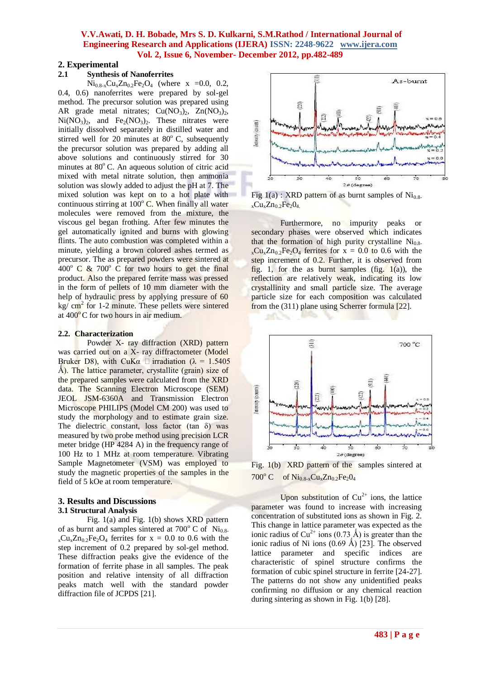### **2. Experimental**

# **2.1 Synthesis of Nanoferrites**

 $Ni_{0.8-x}Cu_{x}Zn_{0.2}Fe_{2}O_{4}$  (where x =0.0, 0.2, 0.4, 0.6) nanoferrites were prepared by sol-gel method. The precursor solution was prepared using AR grade metal nitrates;  $Cu(NO<sub>3</sub>)<sub>2</sub>$ ,  $Zn(NO<sub>3</sub>)<sub>2</sub>$ ,  $Ni(NO<sub>3</sub>)<sub>2</sub>$ , and  $Fe<sub>2</sub>(NO<sub>3</sub>)<sub>2</sub>$ . These nitrates were initially dissolved separately in distilled water and stirred well for 20 minutes at  $80^{\circ}$  C, subsequently the precursor solution was prepared by adding all above solutions and continuously stirred for 30 minutes at  $80^{\circ}$  C. An aqueous solution of citric acid mixed with metal nitrate solution, then ammonia solution was slowly added to adjust the pH at 7. The mixed solution was kept on to a hot plate with continuous stirring at  $100^{\circ}$  C. When finally all water molecules were removed from the mixture, the viscous gel began frothing. After few minutes the gel automatically ignited and burns with glowing flints. The auto combustion was completed within a minute, yielding a brown colored ashes termed as precursor. The as prepared powders were sintered at  $400^{\circ}$  C & 700° C for two hours to get the final product. Also the prepared ferrite mass was pressed in the form of pellets of 10 mm diameter with the help of hydraulic press by applying pressure of 60 kg/ cm<sup>2</sup> for 1-2 minute. These pellets were sintered at  $400^{\circ}$ C for two hours in air medium.

#### **2.2. Characterization**

Powder X- ray diffraction (XRD) pattern was carried out on a X- ray diffractometer (Model Bruker D8), with CuKa  $\Box$  irradiation ( $\lambda = 1.5405$ Å). The lattice parameter, crystallite (grain) size of the prepared samples were calculated from the XRD data. The Scanning Electron Microscope (SEM) JEOL JSM-6360A and Transmission Electron Microscope PHILIPS (Model CM 200) was used to study the morphology and to estimate grain size. The dielectric constant, loss factor (tan  $\delta$ ) was measured by two probe method using precision LCR meter bridge (HP 4284 A) in the frequency range of 100 Hz to 1 MHz at room temperature. Vibrating Sample Magnetometer (VSM) was employed to study the magnetic properties of the samples in the field of 5 kOe at room temperature.

#### **3. Results and Discussions 3.1 Structural Analysis**

Fig. 1(a) and Fig. 1(b) shows XRD pattern of as burnt and samples sintered at  $700^{\circ}$  C of Ni<sub>0.8-</sub>  $_{x}Cu_{x}Zn_{0.2}Fe_{2}O_{4}$  ferrites for  $x = 0.0$  to 0.6 with the step increment of 0.2 prepared by sol-gel method. These diffraction peaks give the evidence of the formation of ferrite phase in all samples. The peak position and relative intensity of all diffraction peaks match well with the standard powder diffraction file of JCPDS [21].



Fig  $1(a)$ : XRD pattern of as burnt samples of Ni<sub>0.8-</sub>  $_{x}Cu_{x}Zn_{0.2}Fe_{2}O_{4.}$ 

Furthermore, no impurity peaks or secondary phases were observed which indicates that the formation of high purity crystalline  $Ni<sub>0.8-</sub>$  $_{x}Cu_{x}Zn_{0.2}Fe_{2}O_{4}$  ferrites for  $x = 0.0$  to 0.6 with the step increment of 0.2. Further, it is observed from fig. 1, for the as burnt samples (fig.  $1(a)$ ), the reflection are relatively weak, indicating its low crystallinity and small particle size. The average particle size for each composition was calculated from the (311) plane using Scherrer formula [22].



Fig. 1(b) XRD pattern of the samples sintered at 700 $^{\circ}$  C of Ni<sub>0.8-x</sub>Cu<sub>x</sub>Zn<sub>0.2</sub>Fe<sub>2</sub>0<sub>4</sub>

Upon substitution of  $Cu^{2+}$  ions, the lattice parameter was found to increase with increasing concentration of substituted ions as shown in Fig. 2. This change in lattice parameter was expected as the ionic radius of Cu<sup>2+</sup> ions (0.73 Å) is greater than the ionic radius of Ni ions  $(0.69 \text{ Å})$  [23]. The observed lattice parameter and specific indices are characteristic of spinel structure confirms the formation of cubic spinel structure in ferrite [24-27]. The patterns do not show any unidentified peaks confirming no diffusion or any chemical reaction during sintering as shown in Fig. 1(b) [28].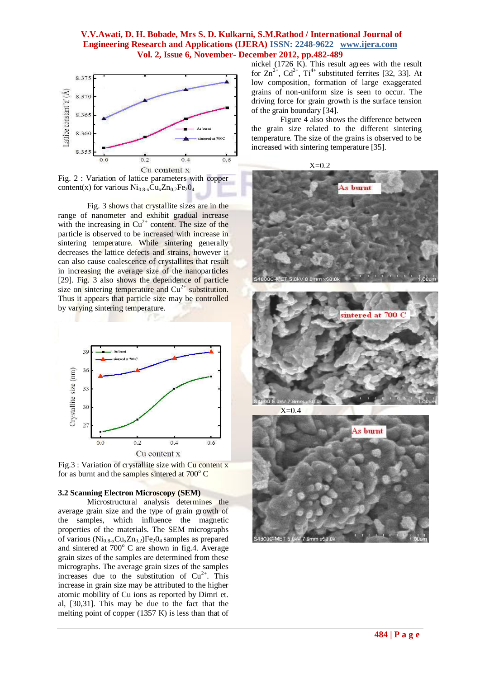

content(x) for various  $Ni_{0.8-x}Cu_{x}Zn_{0.2}Fe_{2}O_{4}$ 

Fig. 3 shows that crystallite sizes are in the range of nanometer and exhibit gradual increase with the increasing in  $Cu^{2+}$  content. The size of the particle is observed to be increased with increase in sintering temperature. While sintering generally decreases the lattice defects and strains, however it can also cause coalescence of crystallites that result in increasing the average size of the nanoparticles [29]. Fig. 3 also shows the dependence of particle size on sintering temperature and  $Cu<sup>2+</sup>$  substitution. Thus it appears that particle size may be controlled by varying sintering temperature.



Fig.3 : Variation of crystallite size with Cu content x for as burnt and the samples sintered at  $700^{\circ}$  C

#### **3.2 Scanning Electron Microscopy (SEM)**

Microstructural analysis determines the average grain size and the type of grain growth of the samples, which influence the magnetic properties of the materials. The SEM micrographs of various  $(Ni_{0.8-x}Cu_xZn_{0.2})Fe_2O_4$  samples as prepared and sintered at  $700^{\circ}$  C are shown in fig.4. Average grain sizes of the samples are determined from these micrographs. The average grain sizes of the samples increases due to the substitution of  $Cu^{2+}$ . This increase in grain size may be attributed to the higher atomic mobility of Cu ions as reported by Dimri et. al, [30,31]. This may be due to the fact that the melting point of copper (1357 K) is less than that of nickel (1726 K). This result agrees with the result for  $\text{Zn}^{2+}$ ,  $\text{Cd}^{2+}$ ,  $\text{Ti}^{4+}$  substituted ferrites [32, 33]. At low composition, formation of large exaggerated grains of non-uniform size is seen to occur. The driving force for grain growth is the surface tension of the grain boundary [34].

Figure 4 also shows the difference between the grain size related to the different sintering temperature. The size of the grains is observed to be increased with sintering temperature [35].





 $X=0.4$ 

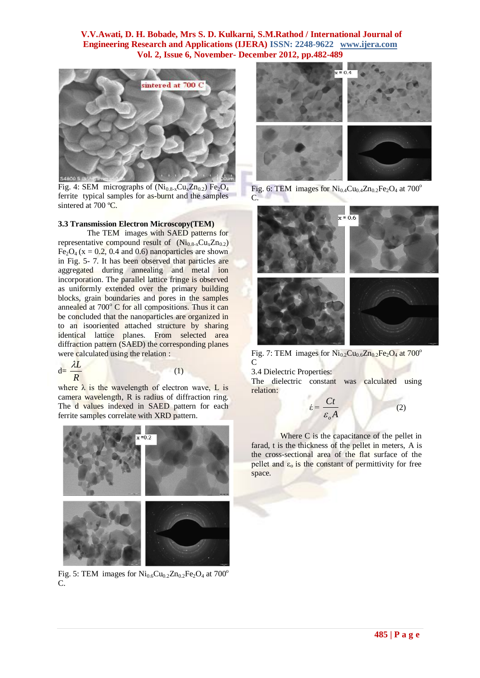

Fig. 4: SEM micrographs of  $(Ni_{0.8-x}Cu<sub>x</sub>Zn_{0.2})$  Fe<sub>2</sub>O<sub>4</sub> ferrite typical samples for as-burnt and the samples sintered at 700 °C.

#### **3.3 Transmission Electron Microscopy(TEM)**

The TEM images with SAED patterns for representative compound result of  $(Ni_{0.8-x}Cu<sub>x</sub>Zn_{0.2})$ Fe<sub>2</sub>O<sub>4</sub> (x = 0.2, 0.4 and 0.6) nanoparticles are shown in Fig. 5- 7. It has been observed that particles are aggregated during annealing and metal ion incorporation. The parallel lattice fringe is observed as uniformly extended over the primary building blocks, grain boundaries and pores in the samples annealed at  $700^{\circ}$  C for all compositions. Thus it can be concluded that the nanoparticles are organized in to an isooriented attached structure by sharing identical lattice planes. From selected area diffraction pattern (SAED) the corresponding planes were calculated using the relation :

$$
d = \frac{\lambda L}{R}
$$

where  $\lambda$  is the wavelength of electron wave, L is camera wavelength, R is radius of diffraction ring. The d values indexed in SAED pattern for each ferrite samples correlate with XRD pattern.

(1)



Fig. 5: TEM images for  $Ni<sub>0.6</sub>Cu<sub>0.2</sub>Zn<sub>0.2</sub>Fe<sub>2</sub>O<sub>4</sub>$  at 700<sup>o</sup> C.



Fig. 6: TEM images for  $Ni_{0.4}Cu_{0.4}Zn_{0.2}Fe_2O_4$  at  $700^{\circ}$ C.



Fig. 7: TEM images for  $\text{Ni}_{0.2}\text{Cu}_{0.6}\text{Zn}_{0.2}\text{Fe}_2\text{O}_4$  at  $700^\circ$  $\mathcal{C}$ 

3.4 Dielectric Properties:

The dielectric constant was calculated using relation:

> έ =  $\frac{\epsilon}{\epsilon_{0}A}$ *Ct*  $\mathcal{E}^{}_{o}$ (2)

Where C is the capacitance of the pellet in farad, t is the thickness of the pellet in meters, A is the cross-sectional area of the flat surface of the pellet and  $\varepsilon_0$  is the constant of permittivity for free space.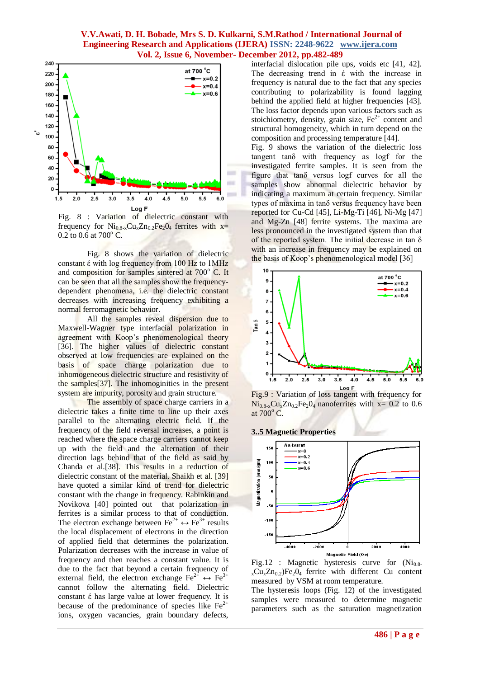

Fig. 8 : Variation of dielectric constant with frequency for  $Ni_{0.8-x}Cu_{x}Zn_{0.2}Fe_{2}O_{4}$  ferrites with x=  $0.2$  to  $0.6$  at  $700^{\circ}$  C.

Fig. 8 shows the variation of dielectric constant έ with log frequency from 100 Hz to 1MHz and composition for samples sintered at  $700^\circ$  C. It can be seen that all the samples show the frequencydependent phenomena, i.e. the dielectric constant decreases with increasing frequency exhibiting a normal ferromagnetic behavior.

All the samples reveal dispersion due to Maxwell-Wagner type interfacial polarization in agreement with Koop's phenomenological theory [36]. The higher values of dielectric constant observed at low frequencies are explained on the basis of space charge polarization due to inhomogeneous dielectric structure and resistivity of the samples[37]. The inhomoginities in the present system are impurity, porosity and grain structure.

The assembly of space charge carriers in a dielectric takes a finite time to line up their axes parallel to the alternating electric field. If the frequency of the field reversal increases, a point is reached where the space charge carriers cannot keep up with the field and the alternation of their direction lags behind that of the field as said by Chanda et al.[38]. This results in a reduction of dielectric constant of the material. Shaikh et al. [39] have quoted a similar kind of trend for dielectric constant with the change in frequency. Rabinkin and Novikova [40] pointed out that polarization in ferrites is a similar process to that of conduction. The electron exchange between  $\text{Fe}^{2+} \leftrightarrow \text{Fe}^{3+}$  results the local displacement of electrons in the direction of applied field that determines the polarization. Polarization decreases with the increase in value of frequency and then reaches a constant value. It is due to the fact that beyond a certain frequency of external field, the electron exchange  $\text{Fe}^{2+} \leftrightarrow \text{Fe}^{3+}$ cannot follow the alternating field. Dielectric constant έ has large value at lower frequency. It is because of the predominance of species like  $Fe<sup>2+</sup>$ ions, oxygen vacancies, grain boundary defects,

interfacial dislocation pile ups, voids etc [41, 42]. The decreasing trend in έ with the increase in frequency is natural due to the fact that any species contributing to polarizability is found lagging behind the applied field at higher frequencies [43]. The loss factor depends upon various factors such as stoichiometry, density, grain size,  $Fe<sup>2+</sup>$  content and structural homogeneity, which in turn depend on the composition and processing temperature [44].

Fig. 9 shows the variation of the dielectric loss tangent tanδ with frequency as logf for the investigated ferrite samples. It is seen from the figure that tanδ versus logf curves for all the samples show abnormal dielectric behavior by indicating a maximum at certain frequency. Similar types of maxima in tanδ versus frequency have been reported for Cu-Cd [45],  $Li-Mg-Ti$  [46],  $Ni-Mg$  [47] and Mg-Zn [48] ferrite systems. The maxima are less pronounced in the investigated system than that of the reported system. The initial decrease in tan  $\delta$ with an increase in frequency may be explained on the basis of Koop's phenomenological model [36]



Equal F<br>Fig.9 : Variation of loss tangent with frequency for  $Ni<sub>0.8-x</sub>Cu<sub>x</sub>Zn<sub>0.2</sub>Fe<sub>2</sub>0<sub>4</sub> nanoferrites with x= 0.2 to 0.6$ at  $700^{\circ}$  C.

**3..5 Magnetic Properties** 





The hysteresis loops (Fig. 12) of the investigated samples were measured to determine magnetic parameters such as the saturation magnetization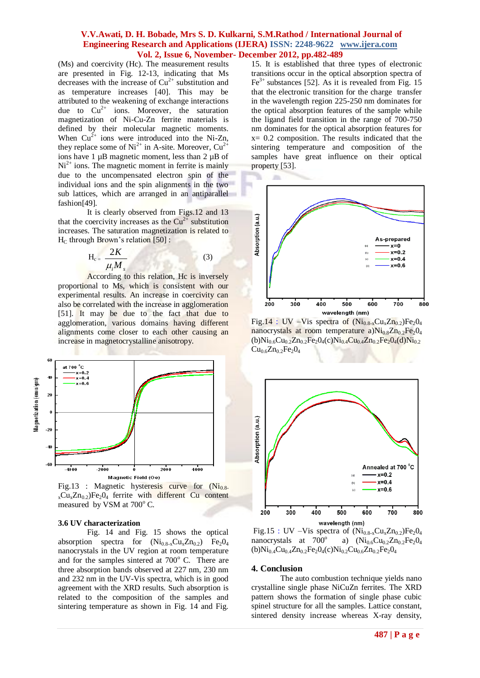(Ms) and coercivity (Hc). The measurement results are presented in Fig. 12-13, indicating that Ms decreases with the increase of  $Cu^{2+}$  substitution and as temperature increases [40]. This may be attributed to the weakening of exchange interactions due to  $Cu^{2+}$  ions. Moreover, the saturation magnetization of Ni-Cu-Zn ferrite materials is defined by their molecular magnetic moments. When  $Cu^{2+}$  ions were introduced into the Ni-Zn, they replace some of  $Ni^{2+}$  in A-site. Moreover,  $Cu^{2+}$ ions have 1 µB magnetic moment, less than 2 µB of  $Ni<sup>2+</sup>$  ions. The magnetic moment in ferrite is mainly due to the uncompensated electron spin of the individual ions and the spin alignments in the two sub lattices, which are arranged in an antiparallel fashion[49].

It is clearly observed from Figs.12 and 13 that the coercivity increases as the  $Cu^{2+}$  substitution increases. The saturation magnetization is related to  $H_C$  through Brown's relation [50] :

$$
H_c = \frac{2K}{\mu_i M_s} \tag{3}
$$

According to this relation, Hc is inversely proportional to Ms, which is consistent with our experimental results. An increase in coercivity can also be correlated with the increase in agglomeration [51]. It may be due to the fact that due to agglomeration, various domains having different alignments come closer to each other causing an increase in magnetocrystalline anisotropy.





#### **3.6 UV characterization**

Fig. 14 and Fig. 15 shows the optical absorption spectra for  $(Ni_{0.8-x}Cu_xZn_{0.2})$  Fe<sub>2</sub>0<sub>4</sub> nanocrystals in the UV region at room temperature and for the samples sintered at  $700^{\circ}$  C. There are three absorption bands observed at 227 nm, 230 nm and 232 nm in the UV-Vis spectra, which is in good agreement with the XRD results. Such absorption is related to the composition of the samples and sintering temperature as shown in Fig. 14 and Fig.

15. It is established that three types of electronic transitions occur in the optical absorption spectra of  $Fe<sup>3+</sup>$  substances [52]. As it is revealed from Fig. 15 that the electronic transition for the charge transfer in the wavelength region 225-250 nm dominates for the optical absorption features of the sample while the ligand field transition in the range of 700-750 nm dominates for the optical absorption features for  $x= 0.2$  composition. The results indicated that the sintering temperature and composition of the samples have great influence on their optical property [53].



Fig.14 : UV –Vis spectra of  $(Ni_{0.8-x}Cu_xZn_{0.2})Fe_2O_4$ nanocrystals at room temperature a) $Ni<sub>0.8</sub>Zn<sub>0.2</sub>Fe<sub>2</sub>O<sub>4</sub>$  $(b)Ni_{0.6}Cu_{0.2}Zn_{0.2}Fe_2O_4(c)Ni_{0.4}Cu_{0.4}Zn_{0.2}Fe_2O_4(d)Ni_{0.2}$  $Cu_{0.6}Zn_{0.2}Fe_2O_4$ 



Fig.15 : UV –Vis spectra of  $(Ni_{0.8-x}Cu_xZn_{0.2})Fe_2O_4$ nanocrystals at 700° a)  $(Ni_{0.6}Cu_{0.2}Zn_{0.2}Fe_2O_4)$  $(b)Ni<sub>0.4</sub>Cu<sub>0.4</sub>Zn<sub>0.2</sub>Fe<sub>2</sub>O<sub>4</sub>(c)Ni<sub>0.2</sub>Cu<sub>0.6</sub>Zn<sub>0.2</sub>Fe<sub>2</sub>O<sub>4</sub>$ 

#### **4. Conclusion**

The auto combustion technique vields nano crystalline single phase NiCuZn ferrites. The XRD pattern shows the formation of single phase cubic spinel structure for all the samples. Lattice constant, sintered density increase whereas X-ray density,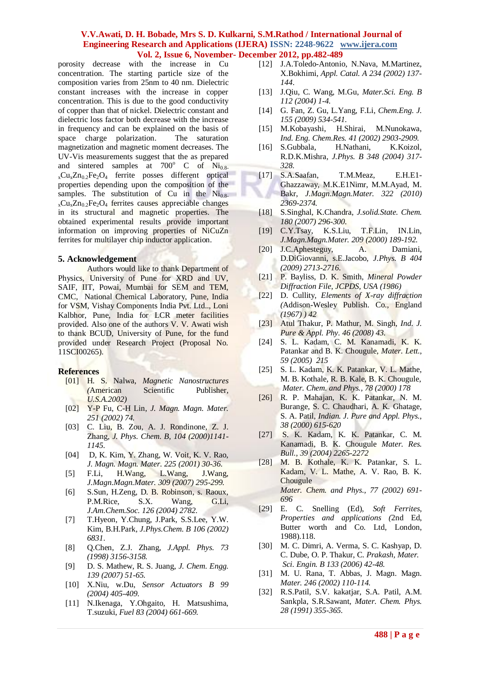porosity decrease with the increase in Cu concentration. The starting particle size of the composition varies from 25nm to 40 nm. Dielectric constant increases with the increase in copper concentration. This is due to the good conductivity of copper than that of nickel. Dielectric constant and dielectric loss factor both decrease with the increase in frequency and can be explained on the basis of space charge polarization. The saturation magnetization and magnetic moment decreases. The UV-Vis measurements suggest that the as prepared and sintered samples at  $700^{\circ}$  C of Ni<sub>0.8-</sub>  $_{x}Cu_{x}Zn_{0.2}Fe_{2}O_{4}$  ferrite posses different optical properties depending upon the composition of the samples. The substitution of Cu in the  $Ni<sub>0.8-</sub>$  $_{x}Cu_{x}Zn_{0.2}Fe_{2}O_{4}$  ferrites causes appreciable changes in its structural and magnetic properties. The obtained experimental results provide important information on improving properties of NiCuZn ferrites for multilayer chip inductor application.

#### **5. Acknowledgement**

Authors would like to thank Department of Physics, University of Pune for XRD and UV, SAIF, IIT, Powai, Mumbai for SEM and TEM, CMC, National Chemical Laboratory, Pune, India for VSM, Vishay Components India Pvt. Ltd.., Loni Kalbhor, Pune, India for LCR meter facilities provided. Also one of the authors V. V. Awati wish to thank BCUD, University of Pune, for the fund provided under Research Project (Proposal No. 11SCI00265).

#### **References**

- [01] H. S. Nalwa, *Magnetic Nanostructures (*American Scientific Publisher*, U.S.A.2002)*
- [02] Y-P Fu, C-H Lin, *J. Magn. Magn. Mater. 251 (2002) 74.*
- [03] C. Liu, B. Zou, A. J. Rondinone, Z. J. Zhang, *J. Phys. Chem. B, 104 (2000)1141- 1145.*
- [04] D, K. Kim, Y. Zhang, W. Voit, K. V. Rao, *J. Magn. Magn. Mater. 225 (2001) 30-36*.
- [5] F.Li, H.Wang, L.Wang, J.Wang, *J.Magn.Magn.Mater. 309 (2007) 295-299.*
- [6] S.Sun, H.Zeng, D. B. Robinson, s. Raoux, P.M.Rice, S.X. Wang, G.Li, *J.Am.Chem.Soc. 126 (2004) 2782.*
- [7] T.Hyeon, Y.Chung, J.Park, S.S.Lee, Y.W. Kim, B.H.Park*, J.Phys.Chem. B 106 (2002) 6831*.
- [8] Q.Chen, Z.J. Zhang, *J.Appl. Phys. 73 (1998) 3156-3158.*
- [9] D. S. Mathew, R. S. Juang, *J. Chem. Engg. 139 (2007) 51-65.*
- [10] X.Niu, w.Du, *Sensor Actuators B 99 (2004) 405-409.*
- [11] N.Ikenaga, Y.Ohgaito, H. Matsushima, T.suzuki, *Fuel 83 (2004) 661-669.*
- [12] J.A.Toledo-Antonio, N.Nava, M.Martinez, X.Bokhimi, *Appl. Catal. A 234 (2002) 137- 144*.
- [13] J.Qiu, C. Wang, M.Gu, *Mater.Sci. Eng. B 112 (2004) 1-4.*
- [14] G. Fan, Z. Gu, L.Yang, F.Li, *Chem.Eng. J. 155 (2009) 534-541.*
- [15] M.Kobayashi, H.Shirai, M.Nunokawa, *Ind. Eng. Chem.Res. 41 (2002) 2903-2909.*
- [16] S.Gubbala, H.Nathani, K.Koizol, R.D.K.Mishra, *J.Phys. B 348 (2004) 317- 328.*
- [17] S.A.Saafan, T.M.Meaz, E.H.E1- Ghazzaway, M.K.E1Nimr, M.M.Ayad, M. Bakr, *J.Magn.Magn.Mater. 322 (2010) 2369-2374.*
- [18] S.Singhal, K.Chandra, *J.solid.State. Chem. 180 (2007) 296-300.*
- [19] C.Y.Tsay, K.S.Liu, T.F.Lin, IN.Lin, *J.Magn.Magn.Mater. 209 (2000) 189-192.*
- [20] J.C.Aphesteguy, A. Damiani, D.DiGiovanni, s.E.Jacobo, *J.Phys. B 404 (2009) 2713-2716*.
- [21] P. Bayliss, D. K. Smith, *Mineral Powder Diffraction File, JCPDS, USA (1986)*
- [22] D. Cullity, *Elements of X-ray diffraction (*Addison-Wesley Publish. Co., England *(1967) ) 42*
- [23] Atul Thakur, P. Mathur, M. Singh, *Ind. J. Pure & Appl. Phy. 46 (2008) 43.*
- [24] S. L. Kadam, C. M. Kanamadi, K. K. Patankar and B. K. Chougule, *Mater. Lett., 59 (2005) 215*
- [25] S. L. Kadam, K. K. Patankar, V. L. Mathe, M. B. Kothale, R. B. Kale, B. K. Chougule, *Mater. Chem. and Phys., 78 (2000) 178*
- [26] R. P. Mahajan, K. K. Patankar, N. M. Burange, S. C. Chaudhari, A. K. Ghatage, S. A. Patil, *Indian. J. Pure and Appl. Phys., 38 (2000) 615-620*
- [27] S. K. Kadam, K. K. Patankar, C. M. Kanamadi, B. K. Chougule *Mater. Res. Bull., 39 (2004) 2265-2272*
- [28] M. B. Kothale, K. K. Patankar, S. L. Kadam, V. L. Mathe, A. V. Rao, B. K. **Chougule**  *Mater. Chem. and Phys., 77 (2002) 691- 696*
- [29] E. C. Snelling (Ed), *Soft Ferrites, Properties and applications (*2nd Ed, Butter worth and Co. Ltd, London, 1988).118.
- [30] M. C. Dimri, A. Verma, S. C. Kashyap, D. C. Dube, O. P. Thakur, C. *Prakash, Mater. Sci. Engin. B 133 (2006) 42-48.*
- [31] M. U. Rana, T. Abbas, J. Magn. Magn. *Mater. 246 (2002) 110-114.*
- [32] R.S.Patil, S.V. kakatjar, S.A. Patil, A.M. Sankpla, S.R.Sawant, *Mater. Chem. Phys. 28 (1991) 355-365.*